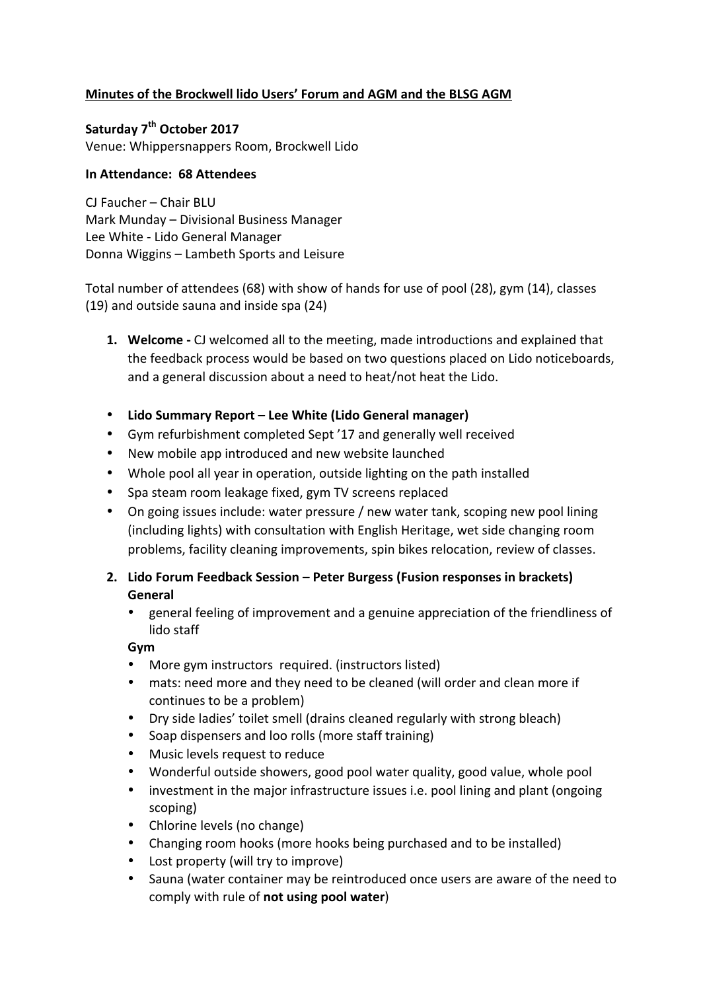# **Minutes of the Brockwell lido Users' Forum and AGM and the BLSG AGM**

Saturday 7<sup>th</sup> October 2017 Venue: Whippersnappers Room, Brockwell Lido

### **In Attendance: 68 Attendees**

 $CI$  Faucher – Chair BLU Mark Munday - Divisional Business Manager Lee White - Lido General Manager Donna Wiggins – Lambeth Sports and Leisure

Total number of attendees (68) with show of hands for use of pool (28), gym (14), classes (19) and outside sauna and inside spa (24)

- **1. Welcome** CJ welcomed all to the meeting, made introductions and explained that the feedback process would be based on two questions placed on Lido noticeboards, and a general discussion about a need to heat/not heat the Lido.
- Lido Summary Report Lee White (Lido General manager)
- Gym refurbishment completed Sept '17 and generally well received
- New mobile app introduced and new website launched
- Whole pool all year in operation, outside lighting on the path installed
- Spa steam room leakage fixed, gym TV screens replaced
- On going issues include: water pressure / new water tank, scoping new pool lining (including lights) with consultation with English Heritage, wet side changing room problems, facility cleaning improvements, spin bikes relocation, review of classes.
- **2. Lido Forum Feedback Session – Peter Burgess (Fusion responses in brackets) General**
	- general feeling of improvement and a genuine appreciation of the friendliness of lido staff

**Gym**

- More gym instructors required. (instructors listed)
- mats: need more and they need to be cleaned (will order and clean more if continues to be a problem)
- Dry side ladies' toilet smell (drains cleaned regularly with strong bleach)
- Soap dispensers and loo rolls (more staff training)
- Music levels request to reduce
- Wonderful outside showers, good pool water quality, good value, whole pool
- investment in the major infrastructure issues i.e. pool lining and plant (ongoing scoping)
- Chlorine levels (no change)
- Changing room hooks (more hooks being purchased and to be installed)
- Lost property (will try to improve)
- Sauna (water container may be reintroduced once users are aware of the need to comply with rule of **not using pool water**)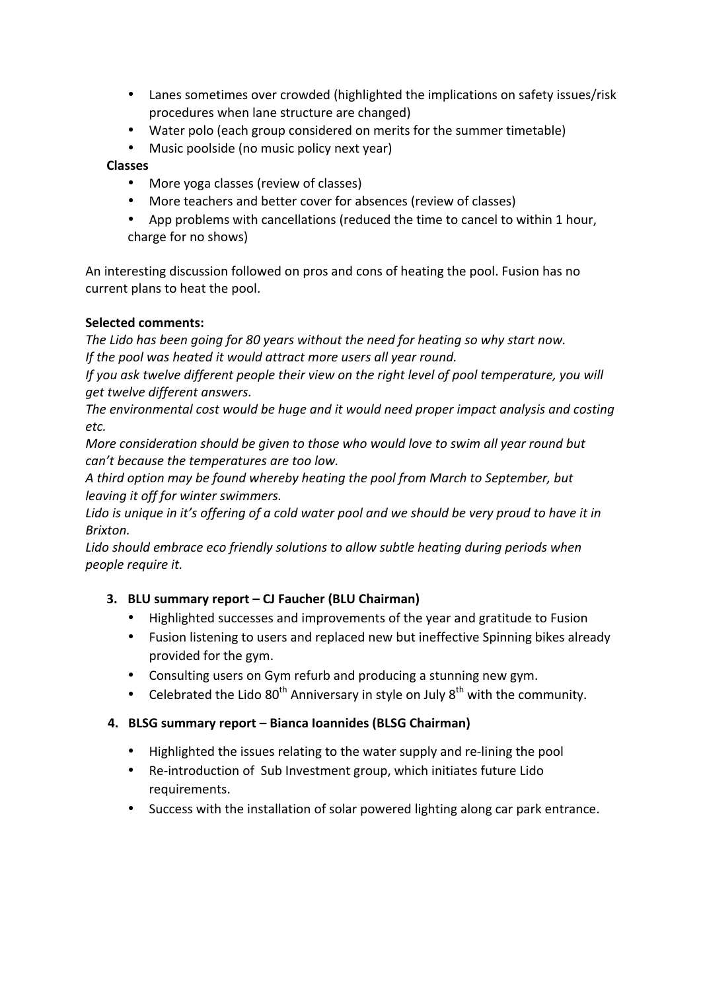- Lanes sometimes over crowded (highlighted the implications on safety issues/risk procedures when lane structure are changed)
- Water polo (each group considered on merits for the summer timetable)
- Music poolside (no music policy next year)

### **Classes**

- More yoga classes (review of classes)
- More teachers and better cover for absences (review of classes)
- App problems with cancellations (reduced the time to cancel to within 1 hour, charge for no shows)

An interesting discussion followed on pros and cons of heating the pool. Fusion has no current plans to heat the pool.

# **Selected comments:**

The Lido has been going for 80 years without the need for heating so why start now. If the pool was heated it would attract more users all year round.

*If* you ask twelve different people their view on the right level of pool temperature, you will *get twelve different answers.*

The environmental cost would be huge and it would need proper impact analysis and costing *etc.*

*More consideration should be given to those who would love to swim all year round but can't because the temperatures are too low.* 

A third option may be found whereby heating the pool from March to September, but *leaving it off for winter swimmers.* 

Lido is unique in it's offering of a cold water pool and we should be very proud to have it in *Brixton.*

Lido should embrace eco friendly solutions to allow subtle heating during periods when *people require it.*

# **3. BLU summary report – CJ Faucher (BLU Chairman)**

- Highlighted successes and improvements of the year and gratitude to Fusion
- Fusion listening to users and replaced new but ineffective Spinning bikes already provided for the gym.
- Consulting users on Gym refurb and producing a stunning new gym.
- Celebrated the Lido  $80^{th}$  Anniversary in style on July  $8^{th}$  with the community.

# **4. BLSG summary report – Bianca Ioannides (BLSG Chairman)**

- Highlighted the issues relating to the water supply and re-lining the pool
- Re-introduction of Sub Investment group, which initiates future Lido requirements.
- Success with the installation of solar powered lighting along car park entrance.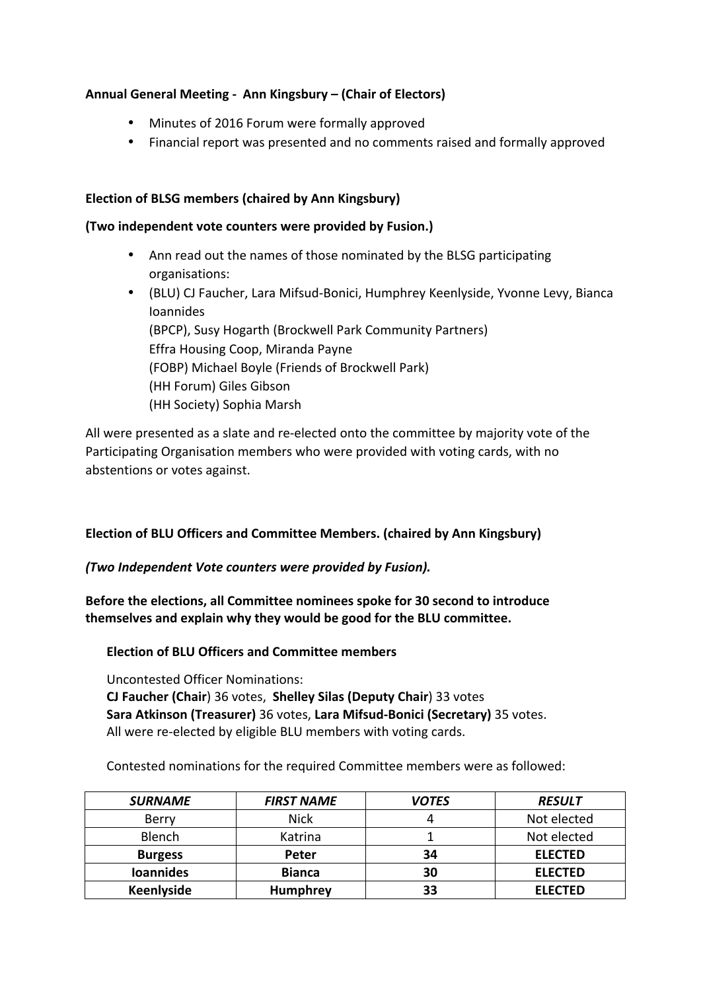# Annual General Meeting - Ann Kingsbury – (Chair of Electors)

- Minutes of 2016 Forum were formally approved
- Financial report was presented and no comments raised and formally approved

# **Election of BLSG members (chaired by Ann Kingsbury)**

### (Two independent vote counters were provided by Fusion.)

- Ann read out the names of those nominated by the BLSG participating organisations:
- (BLU) CJ Faucher, Lara Mifsud-Bonici, Humphrey Keenlyside, Yvonne Levy, Bianca Ioannides (BPCP), Susy Hogarth (Brockwell Park Community Partners) Effra Housing Coop, Miranda Payne (FOBP) Michael Boyle (Friends of Brockwell Park) (HH Forum) Giles Gibson (HH Society) Sophia Marsh

All were presented as a slate and re-elected onto the committee by majority vote of the Participating Organisation members who were provided with voting cards, with no abstentions or votes against.

# Election of BLU Officers and Committee Members. (chaired by Ann Kingsbury)

# *(Two Independent Vote counters were provided by Fusion).*

**Before the elections, all Committee nominees spoke for 30 second to introduce** themselves and explain why they would be good for the BLU committee.

**Election of BLU Officers and Committee members** 

Uncontested Officer Nominations: **CJ Faucher (Chair) 36 votes, Shelley Silas (Deputy Chair) 33 votes Sara Atkinson (Treasurer)** 36 votes, Lara Mifsud-Bonici (Secretary) 35 votes. All were re-elected by eligible BLU members with voting cards.

Contested nominations for the required Committee members were as followed:

| <b>SURNAME</b>    | <b>FIRST NAME</b> | <b>VOTES</b> | <b>RESULT</b>  |
|-------------------|-------------------|--------------|----------------|
| <b>Berry</b>      | <b>Nick</b>       |              | Not elected    |
| Blench            | Katrina           |              | Not elected    |
| <b>Burgess</b>    | Peter             | 34           | <b>ELECTED</b> |
| <b>Ioannides</b>  | <b>Bianca</b>     | 30           | <b>ELECTED</b> |
| <b>Keenlyside</b> | <b>Humphrey</b>   | 33           | <b>ELECTED</b> |